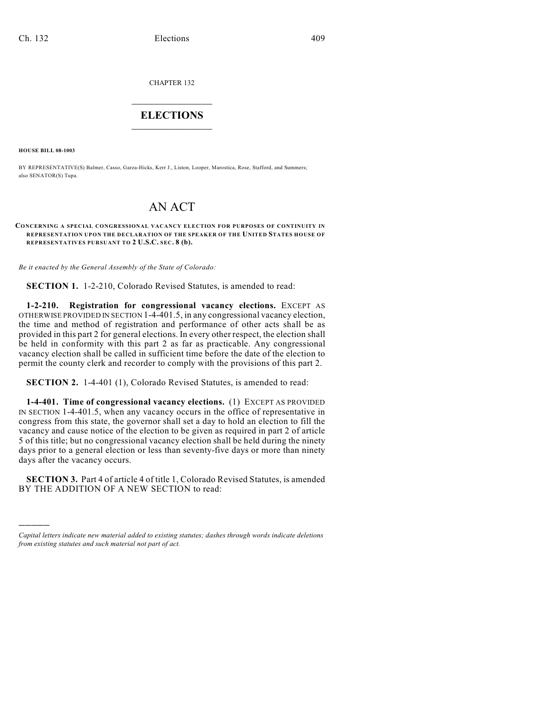CHAPTER 132

## $\mathcal{L}_\text{max}$  . The set of the set of the set of the set of the set of the set of the set of the set of the set of the set of the set of the set of the set of the set of the set of the set of the set of the set of the set **ELECTIONS**  $\_$

**HOUSE BILL 08-1003**

)))))

BY REPRESENTATIVE(S) Balmer, Casso, Garza-Hicks, Kerr J., Liston, Looper, Marostica, Rose, Stafford, and Summers; also SENATOR(S) Tupa.

## AN ACT

## **CONCERNING A SPECIAL CONGRESSIONAL VACANCY ELECTION FOR PURPOSES OF CONTINUITY IN REPRESENTATION UPON THE DECLARATION OF THE SPEAKER OF THE UNITED STATES HOUSE OF REPRESENTATIVES PURSUANT TO 2 U.S.C. SEC. 8 (b).**

*Be it enacted by the General Assembly of the State of Colorado:*

**SECTION 1.** 1-2-210, Colorado Revised Statutes, is amended to read:

**1-2-210. Registration for congressional vacancy elections.** EXCEPT AS OTHERWISE PROVIDED IN SECTION 1-4-401.5, in any congressional vacancy election, the time and method of registration and performance of other acts shall be as provided in this part 2 for general elections. In every other respect, the election shall be held in conformity with this part 2 as far as practicable. Any congressional vacancy election shall be called in sufficient time before the date of the election to permit the county clerk and recorder to comply with the provisions of this part 2.

**SECTION 2.** 1-4-401 (1), Colorado Revised Statutes, is amended to read:

**1-4-401. Time of congressional vacancy elections.** (1) EXCEPT AS PROVIDED IN SECTION 1-4-401.5, when any vacancy occurs in the office of representative in congress from this state, the governor shall set a day to hold an election to fill the vacancy and cause notice of the election to be given as required in part 2 of article 5 of this title; but no congressional vacancy election shall be held during the ninety days prior to a general election or less than seventy-five days or more than ninety days after the vacancy occurs.

**SECTION 3.** Part 4 of article 4 of title 1, Colorado Revised Statutes, is amended BY THE ADDITION OF A NEW SECTION to read:

*Capital letters indicate new material added to existing statutes; dashes through words indicate deletions from existing statutes and such material not part of act.*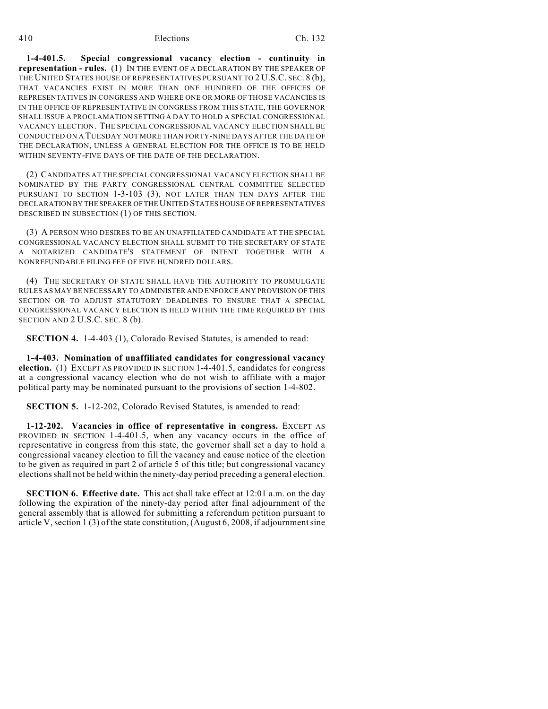410 Elections Ch. 132

**1-4-401.5. Special congressional vacancy election - continuity in representation - rules.** (1) IN THE EVENT OF A DECLARATION BY THE SPEAKER OF THE UNITED STATES HOUSE OF REPRESENTATIVES PURSUANT TO 2 U.S.C. SEC. 8 (b), THAT VACANCIES EXIST IN MORE THAN ONE HUNDRED OF THE OFFICES OF REPRESENTATIVES IN CONGRESS AND WHERE ONE OR MORE OF THOSE VACANCIES IS IN THE OFFICE OF REPRESENTATIVE IN CONGRESS FROM THIS STATE, THE GOVERNOR SHALL ISSUE A PROCLAMATION SETTING A DAY TO HOLD A SPECIAL CONGRESSIONAL VACANCY ELECTION. THE SPECIAL CONGRESSIONAL VACANCY ELECTION SHALL BE CONDUCTED ON A TUESDAY NOT MORE THAN FORTY-NINE DAYS AFTER THE DATE OF THE DECLARATION, UNLESS A GENERAL ELECTION FOR THE OFFICE IS TO BE HELD WITHIN SEVENTY-FIVE DAYS OF THE DATE OF THE DECLARATION.

(2) CANDIDATES AT THE SPECIAL CONGRESSIONAL VACANCY ELECTION SHALL BE NOMINATED BY THE PARTY CONGRESSIONAL CENTRAL COMMITTEE SELECTED PURSUANT TO SECTION 1-3-103 (3), NOT LATER THAN TEN DAYS AFTER THE DECLARATION BY THE SPEAKER OF THE UNITED STATES HOUSE OF REPRESENTATIVES DESCRIBED IN SUBSECTION (1) OF THIS SECTION.

(3) A PERSON WHO DESIRES TO BE AN UNAFFILIATED CANDIDATE AT THE SPECIAL CONGRESSIONAL VACANCY ELECTION SHALL SUBMIT TO THE SECRETARY OF STATE A NOTARIZED CANDIDATE'S STATEMENT OF INTENT TOGETHER WITH A NONREFUNDABLE FILING FEE OF FIVE HUNDRED DOLLARS.

(4) THE SECRETARY OF STATE SHALL HAVE THE AUTHORITY TO PROMULGATE RULES AS MAY BE NECESSARY TO ADMINISTER AND ENFORCE ANY PROVISION OF THIS SECTION OR TO ADJUST STATUTORY DEADLINES TO ENSURE THAT A SPECIAL CONGRESSIONAL VACANCY ELECTION IS HELD WITHIN THE TIME REQUIRED BY THIS SECTION AND 2 U.S.C. SEC. 8 (b).

**SECTION 4.** 1-4-403 (1), Colorado Revised Statutes, is amended to read:

**1-4-403. Nomination of unaffiliated candidates for congressional vacancy election.** (1) EXCEPT AS PROVIDED IN SECTION 1-4-401.5, candidates for congress at a congressional vacancy election who do not wish to affiliate with a major political party may be nominated pursuant to the provisions of section 1-4-802.

**SECTION 5.** 1-12-202, Colorado Revised Statutes, is amended to read:

**1-12-202. Vacancies in office of representative in congress.** EXCEPT AS PROVIDED IN SECTION 1-4-401.5, when any vacancy occurs in the office of representative in congress from this state, the governor shall set a day to hold a congressional vacancy election to fill the vacancy and cause notice of the election to be given as required in part 2 of article 5 of this title; but congressional vacancy elections shall not be held within the ninety-day period preceding a general election.

**SECTION 6. Effective date.** This act shall take effect at 12:01 a.m. on the day following the expiration of the ninety-day period after final adjournment of the general assembly that is allowed for submitting a referendum petition pursuant to article V, section 1 (3) of the state constitution, (August 6, 2008, if adjournment sine